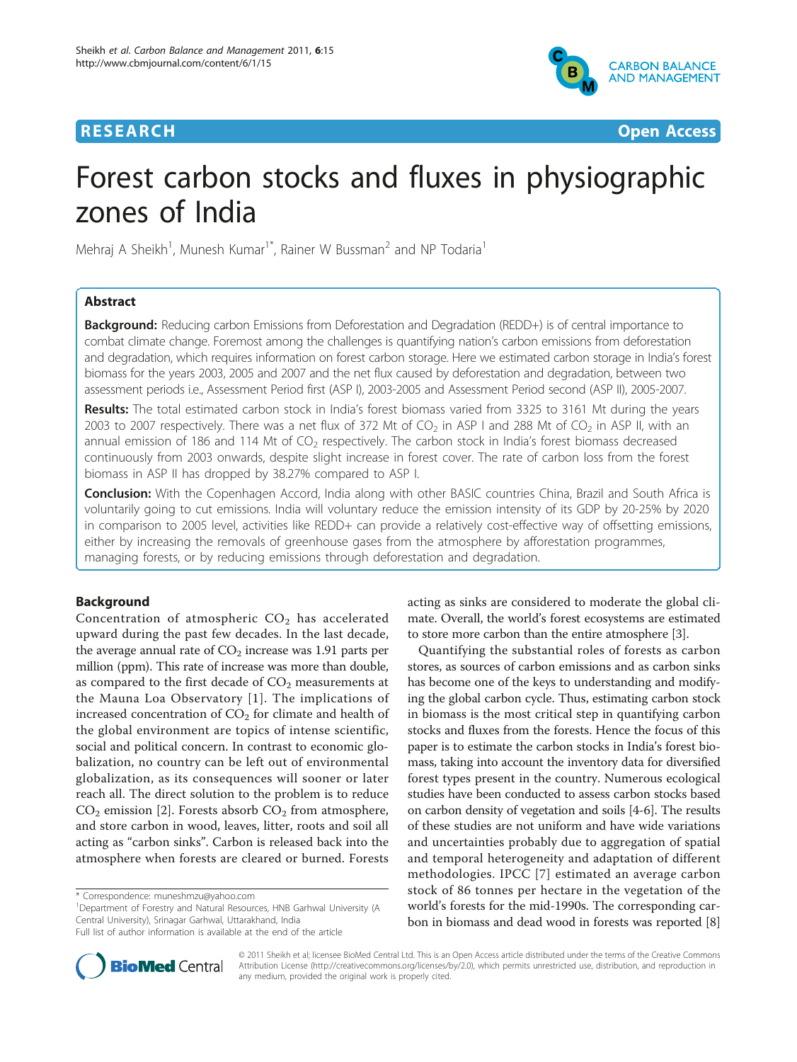## **RESEARCH Open Access**



# Forest carbon stocks and fluxes in physiographic zones of India

Mehraj A Sheikh<sup>1</sup>, Munesh Kumar<sup>1\*</sup>, Rainer W Bussman<sup>2</sup> and NP Todaria<sup>1</sup>

## Abstract

**Background:** Reducing carbon Emissions from Deforestation and Degradation (REDD+) is of central importance to combat climate change. Foremost among the challenges is quantifying nation's carbon emissions from deforestation and degradation, which requires information on forest carbon storage. Here we estimated carbon storage in India's forest biomass for the years 2003, 2005 and 2007 and the net flux caused by deforestation and degradation, between two assessment periods i.e., Assessment Period first (ASP I), 2003-2005 and Assessment Period second (ASP II), 2005-2007.

Results: The total estimated carbon stock in India's forest biomass varied from 3325 to 3161 Mt during the years 2003 to 2007 respectively. There was a net flux of 372 Mt of  $CO<sub>2</sub>$  in ASP I and 288 Mt of  $CO<sub>2</sub>$  in ASP II, with an annual emission of 186 and 114 Mt of  $CO<sub>2</sub>$  respectively. The carbon stock in India's forest biomass decreased continuously from 2003 onwards, despite slight increase in forest cover. The rate of carbon loss from the forest biomass in ASP II has dropped by 38.27% compared to ASP I.

Conclusion: With the Copenhagen Accord, India along with other BASIC countries China, Brazil and South Africa is voluntarily going to cut emissions. India will voluntary reduce the emission intensity of its GDP by 20-25% by 2020 in comparison to 2005 level, activities like REDD+ can provide a relatively cost-effective way of offsetting emissions, either by increasing the removals of greenhouse gases from the atmosphere by afforestation programmes, managing forests, or by reducing emissions through deforestation and degradation.

## Background

Concentration of atmospheric  $CO<sub>2</sub>$  has accelerated upward during the past few decades. In the last decade, the average annual rate of  $CO<sub>2</sub>$  increase was 1.91 parts per million (ppm). This rate of increase was more than double, as compared to the first decade of  $CO<sub>2</sub>$  measurements at the Mauna Loa Observatory [[1\]](#page-8-0). The implications of increased concentration of  $CO<sub>2</sub>$  for climate and health of the global environment are topics of intense scientific, social and political concern. In contrast to economic globalization, no country can be left out of environmental globalization, as its consequences will sooner or later reach all. The direct solution to the problem is to reduce  $CO<sub>2</sub>$  emission [\[2](#page-8-0)]. Forests absorb  $CO<sub>2</sub>$  from atmosphere, and store carbon in wood, leaves, litter, roots and soil all acting as "carbon sinks". Carbon is released back into the atmosphere when forests are cleared or burned. Forests

<sup>1</sup>Department of Forestry and Natural Resources, HNB Garhwal University (A Central University), Srinagar Garhwal, Uttarakhand, India



Quantifying the substantial roles of forests as carbon stores, as sources of carbon emissions and as carbon sinks has become one of the keys to understanding and modifying the global carbon cycle. Thus, estimating carbon stock in biomass is the most critical step in quantifying carbon stocks and fluxes from the forests. Hence the focus of this paper is to estimate the carbon stocks in India's forest biomass, taking into account the inventory data for diversified forest types present in the country. Numerous ecological studies have been conducted to assess carbon stocks based on carbon density of vegetation and soils [\[4-6](#page-8-0)]. The results of these studies are not uniform and have wide variations and uncertainties probably due to aggregation of spatial and temporal heterogeneity and adaptation of different methodologies. IPCC [\[7](#page-8-0)] estimated an average carbon stock of 86 tonnes per hectare in the vegetation of the world's forests for the mid-1990s. The corresponding carbon in biomass and dead wood in forests was reported [[8](#page-8-0)]



© 2011 Sheikh et al; licensee BioMed Central Ltd. This is an Open Access article distributed under the terms of the Creative Commons Attribution License [\(http://creativecommons.org/licenses/by/2.0](http://creativecommons.org/licenses/by/2.0)), which permits unrestricted use, distribution, and reproduction in any medium, provided the original work is properly cited.

<sup>\*</sup> Correspondence: [muneshmzu@yahoo.com](mailto:muneshmzu@yahoo.com)

Full list of author information is available at the end of the article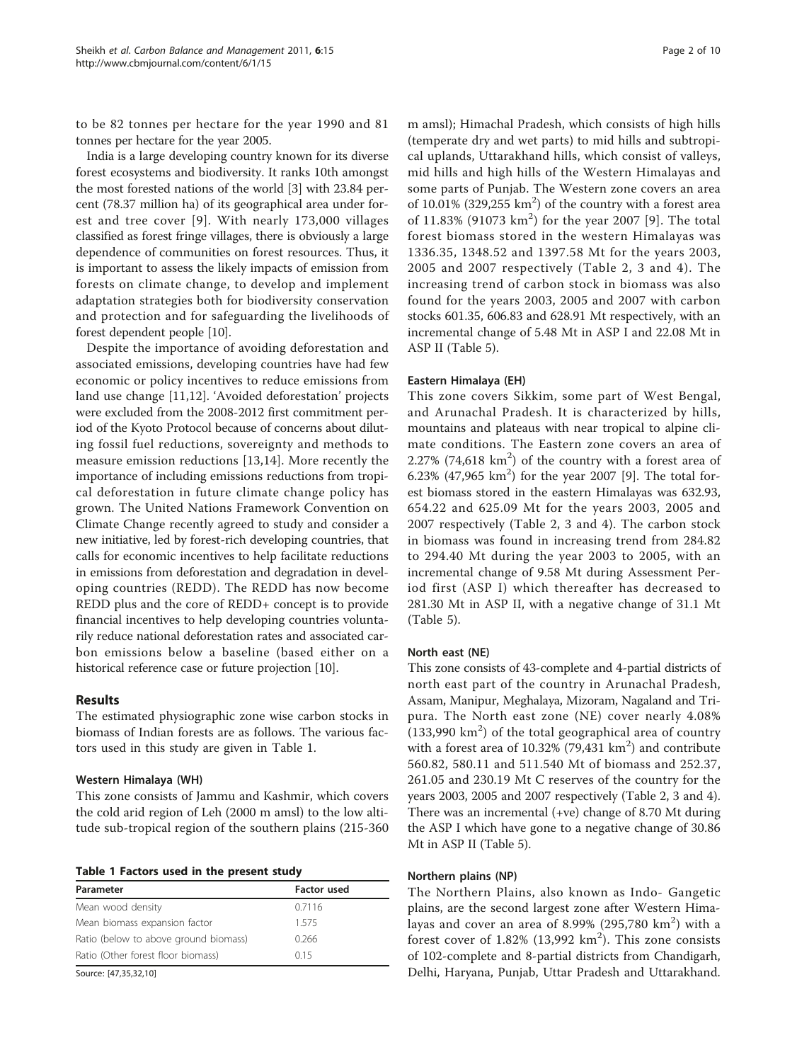<span id="page-1-0"></span>to be 82 tonnes per hectare for the year 1990 and 81 tonnes per hectare for the year 2005.

India is a large developing country known for its diverse forest ecosystems and biodiversity. It ranks 10th amongst the most forested nations of the world [\[3\]](#page-8-0) with 23.84 percent (78.37 million ha) of its geographical area under forest and tree cover [[9\]](#page-8-0). With nearly 173,000 villages classified as forest fringe villages, there is obviously a large dependence of communities on forest resources. Thus, it is important to assess the likely impacts of emission from forests on climate change, to develop and implement adaptation strategies both for biodiversity conservation and protection and for safeguarding the livelihoods of forest dependent people [\[10\]](#page-8-0).

Despite the importance of avoiding deforestation and associated emissions, developing countries have had few economic or policy incentives to reduce emissions from land use change [\[11,12](#page-8-0)]. 'Avoided deforestation' projects were excluded from the 2008-2012 first commitment period of the Kyoto Protocol because of concerns about diluting fossil fuel reductions, sovereignty and methods to measure emission reductions [[13,14\]](#page-8-0). More recently the importance of including emissions reductions from tropical deforestation in future climate change policy has grown. The United Nations Framework Convention on Climate Change recently agreed to study and consider a new initiative, led by forest-rich developing countries, that calls for economic incentives to help facilitate reductions in emissions from deforestation and degradation in developing countries (REDD). The REDD has now become REDD plus and the core of REDD+ concept is to provide financial incentives to help developing countries voluntarily reduce national deforestation rates and associated carbon emissions below a baseline (based either on a historical reference case or future projection [\[10\]](#page-8-0).

## Results

The estimated physiographic zone wise carbon stocks in biomass of Indian forests are as follows. The various factors used in this study are given in Table 1.

#### Western Himalaya (WH)

This zone consists of Jammu and Kashmir, which covers the cold arid region of Leh (2000 m amsl) to the low altitude sub-tropical region of the southern plains (215-360

Table 1 Factors used in the present study

| Parameter                             | <b>Factor used</b> |
|---------------------------------------|--------------------|
| Mean wood density                     | 0.7116             |
| Mean biomass expansion factor         | 1575               |
| Ratio (below to above ground biomass) | 0.266              |
| Ratio (Other forest floor biomass)    | 015                |

Source: [\[47](#page-9-0),[35,32](#page-8-0),[10\]](#page-8-0)

m amsl); Himachal Pradesh, which consists of high hills (temperate dry and wet parts) to mid hills and subtropical uplands, Uttarakhand hills, which consist of valleys, mid hills and high hills of the Western Himalayas and some parts of Punjab. The Western zone covers an area of 10.01% (329,255  $km<sup>2</sup>$ ) of the country with a forest area of 11.83% ([9](#page-8-0)1073 km<sup>2</sup>) for the year 2007 [9]. The total forest biomass stored in the western Himalayas was 1336.35, 1348.52 and 1397.58 Mt for the years 2003, 2005 and 2007 respectively (Table [2](#page-2-0), [3](#page-2-0) and [4](#page-3-0)). The increasing trend of carbon stock in biomass was also found for the years 2003, 2005 and 2007 with carbon stocks 601.35, 606.83 and 628.91 Mt respectively, with an incremental change of 5.48 Mt in ASP I and 22.08 Mt in ASP II (Table [5\)](#page-3-0).

#### Eastern Himalaya (EH)

This zone covers Sikkim, some part of West Bengal, and Arunachal Pradesh. It is characterized by hills, mountains and plateaus with near tropical to alpine climate conditions. The Eastern zone covers an area of  $2.27\%$  (74,618 km<sup>2</sup>) of the country with a forest area of 6.23% (47,965  $km^2$ ) for the year 2007 [[9\]](#page-8-0). The total forest biomass stored in the eastern Himalayas was 632.93, 654.22 and 625.09 Mt for the years 2003, 2005 and 2007 respectively (Table [2](#page-2-0), [3](#page-2-0) and [4\)](#page-3-0). The carbon stock in biomass was found in increasing trend from 284.82 to 294.40 Mt during the year 2003 to 2005, with an incremental change of 9.58 Mt during Assessment Period first (ASP I) which thereafter has decreased to 281.30 Mt in ASP II, with a negative change of 31.1 Mt (Table [5](#page-3-0)).

#### North east (NE)

This zone consists of 43-complete and 4-partial districts of north east part of the country in Arunachal Pradesh, Assam, Manipur, Meghalaya, Mizoram, Nagaland and Tripura. The North east zone (NE) cover nearly 4.08%  $(133,990 \text{ km}^2)$  of the total geographical area of country with a forest area of 10.32% (79,431  $km<sup>2</sup>$ ) and contribute 560.82, 580.11 and 511.540 Mt of biomass and 252.37, 261.05 and 230.19 Mt C reserves of the country for the years 2003, 2005 and 2007 respectively (Table [2](#page-2-0), [3](#page-2-0) and [4](#page-3-0)). There was an incremental (+ve) change of 8.70 Mt during the ASP I which have gone to a negative change of 30.86 Mt in ASP II (Table [5\)](#page-3-0).

#### Northern plains (NP)

The Northern Plains, also known as Indo- Gangetic plains, are the second largest zone after Western Himalayas and cover an area of 8.99% (295,780  $\text{km}^2$ ) with a forest cover of  $1.82\%$  (13,992 km<sup>2</sup>). This zone consists of 102-complete and 8-partial districts from Chandigarh, Delhi, Haryana, Punjab, Uttar Pradesh and Uttarakhand.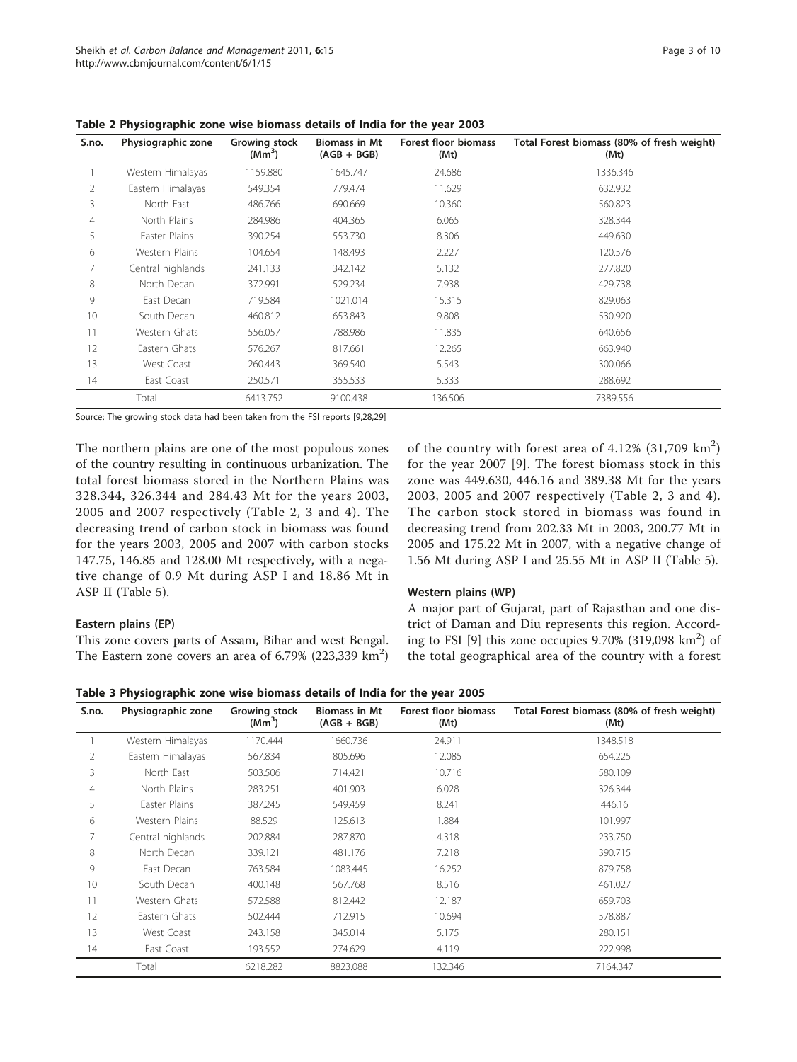| S.no. | Physiographic zone | Growing stock<br>(Mm <sup>3</sup> ) | <b>Biomass in Mt</b><br>$(AGB + BGB)$ | Forest floor biomass<br>(Mt) | Total Forest biomass (80% of fresh weight)<br>(Mt) |
|-------|--------------------|-------------------------------------|---------------------------------------|------------------------------|----------------------------------------------------|
|       | Western Himalayas  | 1159.880                            | 1645.747                              | 24.686                       | 1336.346                                           |
| 2     | Eastern Himalayas  | 549.354                             | 779.474                               | 11.629                       | 632.932                                            |
| 3     | North East         | 486.766                             | 690.669                               | 10.360                       | 560.823                                            |
| 4     | North Plains       | 284.986                             | 404.365                               | 6.065                        | 328.344                                            |
| 5     | Easter Plains      | 390.254                             | 553.730                               | 8.306                        | 449.630                                            |
| 6     | Western Plains     | 104.654                             | 148.493                               | 2.227                        | 120.576                                            |
| 7     | Central highlands  | 241.133                             | 342.142                               | 5.132                        | 277.820                                            |
| 8     | North Decan        | 372.991                             | 529.234                               | 7.938                        | 429.738                                            |
| 9     | East Decan         | 719.584                             | 1021.014                              | 15.315                       | 829.063                                            |
| 10    | South Decan        | 460.812                             | 653.843                               | 9.808                        | 530.920                                            |
| 11    | Western Ghats      | 556.057                             | 788.986                               | 11.835                       | 640.656                                            |
| 12    | Eastern Ghats      | 576.267                             | 817.661                               | 12.265                       | 663.940                                            |
| 13    | West Coast         | 260.443                             | 369.540                               | 5.543                        | 300.066                                            |
| 14    | East Coast         | 250.571                             | 355.533                               | 5.333                        | 288.692                                            |
|       | Total              | 6413.752                            | 9100.438                              | 136.506                      | 7389.556                                           |

<span id="page-2-0"></span>Table 2 Physiographic zone wise biomass details of India for the year 2003

Source: The growing stock data had been taken from the FSI reports [\[9,28](#page-8-0),[29\]](#page-8-0)

The northern plains are one of the most populous zones of the country resulting in continuous urbanization. The total forest biomass stored in the Northern Plains was 328.344, 326.344 and 284.43 Mt for the years 2003, 2005 and 2007 respectively (Table 2, 3 and [4](#page-3-0)). The decreasing trend of carbon stock in biomass was found for the years 2003, 2005 and 2007 with carbon stocks 147.75, 146.85 and 128.00 Mt respectively, with a negative change of 0.9 Mt during ASP I and 18.86 Mt in ASP II (Table [5](#page-3-0)).

#### Eastern plains (EP)

This zone covers parts of Assam, Bihar and west Bengal. The Eastern zone covers an area of  $6.79\%$  (223,339  $\text{km}^2$ )

of the country with forest area of  $4.12\%$  (31,709 km<sup>2</sup>) for the year 2007 [[9\]](#page-8-0). The forest biomass stock in this zone was 449.630, 446.16 and 389.38 Mt for the years 2003, 2005 and 2007 respectively (Table 2, 3 and [4\)](#page-3-0). The carbon stock stored in biomass was found in decreasing trend from 202.33 Mt in 2003, 200.77 Mt in 2005 and 175.22 Mt in 2007, with a negative change of 1.56 Mt during ASP I and 25.55 Mt in ASP II (Table [5\)](#page-3-0).

#### Western plains (WP)

A major part of Gujarat, part of Rajasthan and one district of Daman and Diu represents this region. Accord-ing to FSI [\[9\]](#page-8-0) this zone occupies  $9.70\%$  (319,098 km<sup>2</sup>) of the total geographical area of the country with a forest

Table 3 Physiographic zone wise biomass details of India for the year 2005

| S.no.          | Physiographic zone | Growing stock<br>(Mm <sup>3</sup> ) | <b>Biomass in Mt</b><br>$(AGB + BGB)$ | <b>Forest floor biomass</b><br>(Mt) | Total Forest biomass (80% of fresh weight)<br>(Mt) |
|----------------|--------------------|-------------------------------------|---------------------------------------|-------------------------------------|----------------------------------------------------|
|                | Western Himalayas  | 1170.444                            | 1660.736                              | 24.911                              | 1348.518                                           |
| 2              | Eastern Himalayas  | 567.834                             | 805.696                               | 12.085                              | 654.225                                            |
| 3              | North East         | 503.506                             | 714.421                               | 10.716                              | 580.109                                            |
| $\overline{4}$ | North Plains       | 283.251                             | 401.903                               | 6.028                               | 326.344                                            |
| 5              | Easter Plains      | 387.245                             | 549.459                               | 8.241                               | 446.16                                             |
| 6              | Western Plains     | 88.529                              | 125.613                               | 1.884                               | 101.997                                            |
| 7              | Central highlands  | 202.884                             | 287.870                               | 4.318                               | 233.750                                            |
| 8              | North Decan        | 339.121                             | 481.176                               | 7.218                               | 390.715                                            |
| 9              | East Decan         | 763.584                             | 1083.445                              | 16.252                              | 879.758                                            |
| 10             | South Decan        | 400.148                             | 567.768                               | 8.516                               | 461.027                                            |
| 11             | Western Ghats      | 572.588                             | 812.442                               | 12.187                              | 659.703                                            |
| 12             | Eastern Ghats      | 502.444                             | 712.915                               | 10.694                              | 578.887                                            |
| 13             | West Coast         | 243.158                             | 345.014                               | 5.175                               | 280.151                                            |
| 14             | East Coast         | 193.552                             | 274.629                               | 4.119                               | 222.998                                            |
|                | Total              | 6218.282                            | 8823.088                              | 132.346                             | 7164.347                                           |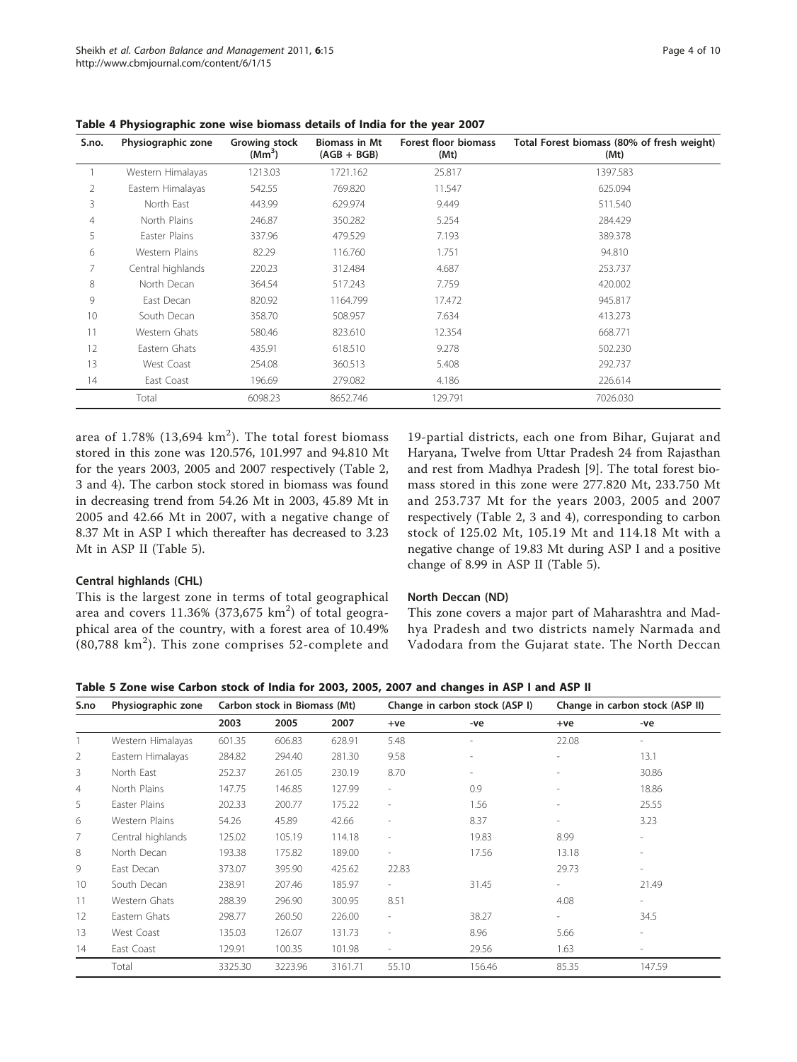| S.no.          | Physiographic zone | Growing stock<br>(Mm <sup>3</sup> ) | <b>Biomass in Mt</b><br>$(AGB + BGB)$ | <b>Forest floor biomass</b><br>(Mt) | Total Forest biomass (80% of fresh weight)<br>(Mt) |
|----------------|--------------------|-------------------------------------|---------------------------------------|-------------------------------------|----------------------------------------------------|
|                | Western Himalayas  | 1213.03                             | 1721.162                              | 25.817                              | 1397.583                                           |
| $\overline{2}$ | Eastern Himalayas  | 542.55                              | 769.820                               | 11.547                              | 625.094                                            |
| 3              | North East         | 443.99                              | 629.974                               | 9.449                               | 511.540                                            |
| 4              | North Plains       | 246.87                              | 350.282                               | 5.254                               | 284.429                                            |
| 5              | Easter Plains      | 337.96                              | 479.529                               | 7.193                               | 389.378                                            |
| 6              | Western Plains     | 82.29                               | 116.760                               | 1.751                               | 94.810                                             |
| 7              | Central highlands  | 220.23                              | 312.484                               | 4.687                               | 253.737                                            |
| 8              | North Decan        | 364.54                              | 517.243                               | 7.759                               | 420.002                                            |
| 9              | East Decan         | 820.92                              | 1164.799                              | 17.472                              | 945.817                                            |
| 10             | South Decan        | 358.70                              | 508.957                               | 7.634                               | 413.273                                            |
| 11             | Western Ghats      | 580.46                              | 823.610                               | 12.354                              | 668.771                                            |
| 12             | Eastern Ghats      | 435.91                              | 618.510                               | 9.278                               | 502.230                                            |
| 13             | West Coast         | 254.08                              | 360.513                               | 5.408                               | 292.737                                            |
| 14             | East Coast         | 196.69                              | 279.082                               | 4.186                               | 226.614                                            |
|                | Total              | 6098.23                             | 8652.746                              | 129.791                             | 7026.030                                           |

<span id="page-3-0"></span>Table 4 Physiographic zone wise biomass details of India for the year 2007

area of 1.78% (13,694  $\rm km^2$ ). The total forest biomass stored in this zone was 120.576, 101.997 and 94.810 Mt for the years 2003, 2005 and 2007 respectively (Table [2](#page-2-0), [3](#page-2-0) and 4). The carbon stock stored in biomass was found in decreasing trend from 54.26 Mt in 2003, 45.89 Mt in 2005 and 42.66 Mt in 2007, with a negative change of 8.37 Mt in ASP I which thereafter has decreased to 3.23 Mt in ASP II (Table 5).

## Central highlands (CHL)

This is the largest zone in terms of total geographical area and covers  $11.36\%$  (373,675  $\rm km^2)$  of total geographical area of the country, with a forest area of 10.49%  $(80,788 \text{ km}^2)$ . This zone comprises 52-complete and

19-partial districts, each one from Bihar, Gujarat and Haryana, Twelve from Uttar Pradesh 24 from Rajasthan and rest from Madhya Pradesh [\[9](#page-8-0)]. The total forest biomass stored in this zone were 277.820 Mt, 233.750 Mt and 253.737 Mt for the years 2003, 2005 and 2007 respectively (Table [2](#page-2-0), [3](#page-2-0) and 4), corresponding to carbon stock of 125.02 Mt, 105.19 Mt and 114.18 Mt with a negative change of 19.83 Mt during ASP I and a positive change of 8.99 in ASP II (Table 5).

## North Deccan (ND)

This zone covers a major part of Maharashtra and Madhya Pradesh and two districts namely Narmada and Vadodara from the Gujarat state. The North Deccan

Table 5 Zone wise Carbon stock of India for 2003, 2005, 2007 and changes in ASP I and ASP II

| S.no           | Physiographic zone |         | Carbon stock in Biomass (Mt) |         | Change in carbon stock (ASP I) |                          | Change in carbon stock (ASP II) |                          |
|----------------|--------------------|---------|------------------------------|---------|--------------------------------|--------------------------|---------------------------------|--------------------------|
|                |                    | 2003    | 2005                         | 2007    | $+ve$                          | -ve                      | $+ve$                           | -ve                      |
|                | Western Himalayas  | 601.35  | 606.83                       | 628.91  | 5.48                           | $\overline{\phantom{a}}$ | 22.08                           |                          |
| 2              | Eastern Himalayas  | 284.82  | 294.40                       | 281.30  | 9.58                           | $\overline{\phantom{m}}$ |                                 | 13.1                     |
| 3              | North East         | 252.37  | 261.05                       | 230.19  | 8.70                           | $\overline{\phantom{m}}$ |                                 | 30.86                    |
| $\overline{4}$ | North Plains       | 147.75  | 146.85                       | 127.99  | $\overline{\phantom{a}}$       | 0.9                      | $\overline{\phantom{a}}$        | 18.86                    |
| 5              | Easter Plains      | 202.33  | 200.77                       | 175.22  | $\overline{\phantom{a}}$       | 1.56                     | $\overline{\phantom{a}}$        | 25.55                    |
| 6              | Western Plains     | 54.26   | 45.89                        | 42.66   | $\overline{\phantom{a}}$       | 8.37                     |                                 | 3.23                     |
| 7              | Central highlands  | 125.02  | 105.19                       | 114.18  | $\overline{\phantom{a}}$       | 19.83                    | 8.99                            | $\overline{\phantom{0}}$ |
| 8              | North Decan        | 193.38  | 175.82                       | 189.00  | $\overline{a}$                 | 17.56                    | 13.18                           | $\overline{\phantom{0}}$ |
| 9              | East Decan         | 373.07  | 395.90                       | 425.62  | 22.83                          |                          | 29.73                           | $\overline{\phantom{0}}$ |
| 10             | South Decan        | 238.91  | 207.46                       | 185.97  | $\overline{\phantom{a}}$       | 31.45                    | $\overline{\phantom{a}}$        | 21.49                    |
| 11             | Western Ghats      | 288.39  | 296.90                       | 300.95  | 8.51                           |                          | 4.08                            | $\overline{\phantom{0}}$ |
| 12             | Eastern Ghats      | 298.77  | 260.50                       | 226.00  | $\overline{\phantom{a}}$       | 38.27                    | $\overline{\phantom{a}}$        | 34.5                     |
| 13             | West Coast         | 135.03  | 126.07                       | 131.73  | $\overline{\phantom{a}}$       | 8.96                     | 5.66                            |                          |
| 14             | East Coast         | 129.91  | 100.35                       | 101.98  | $\overline{\phantom{a}}$       | 29.56                    | 1.63                            |                          |
|                | Total              | 3325.30 | 3223.96                      | 3161.71 | 55.10                          | 156.46                   | 85.35                           | 147.59                   |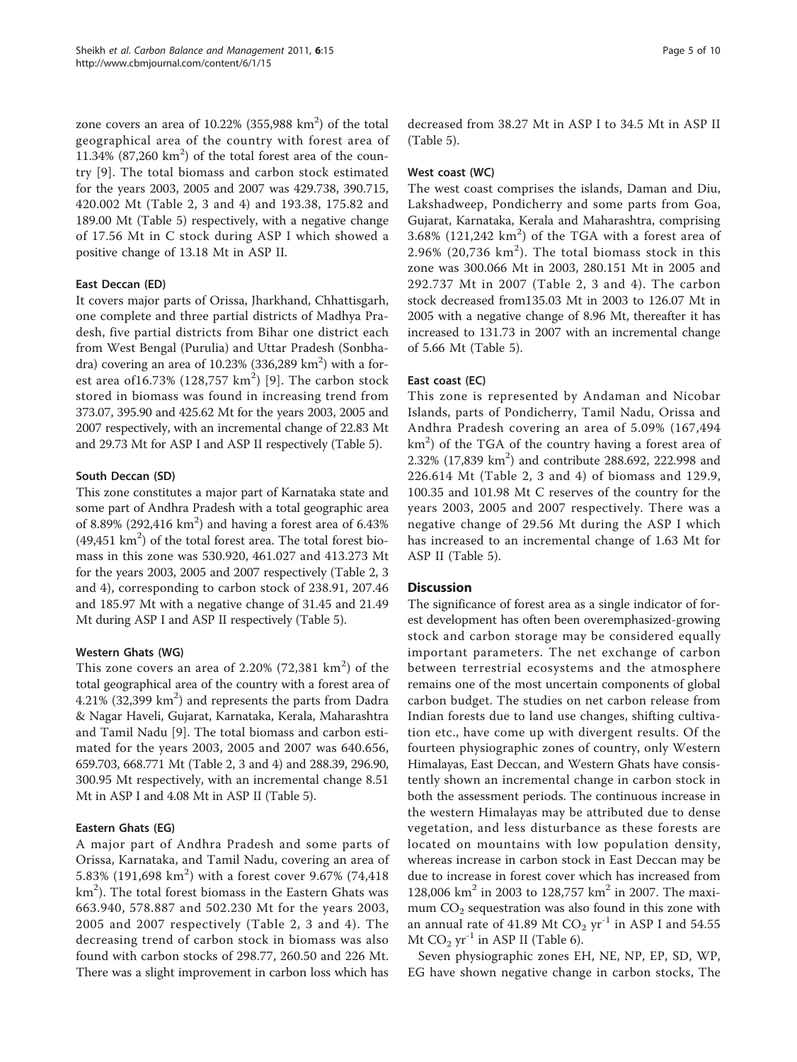zone covers an area of  $10.22\%$  (355,988 km<sup>2</sup>) of the total geographical area of the country with forest area of  $11.34\%$  (87,260 km<sup>2</sup>) of the total forest area of the country [[9\]](#page-8-0). The total biomass and carbon stock estimated for the years 2003, 2005 and 2007 was 429.738, 390.715, 420.002 Mt (Table [2](#page-2-0), [3](#page-2-0) and [4\)](#page-3-0) and 193.38, 175.82 and 189.00 Mt (Table [5\)](#page-3-0) respectively, with a negative change of 17.56 Mt in C stock during ASP I which showed a positive change of 13.18 Mt in ASP II.

#### East Deccan (ED)

It covers major parts of Orissa, Jharkhand, Chhattisgarh, one complete and three partial districts of Madhya Pradesh, five partial districts from Bihar one district each from West Bengal (Purulia) and Uttar Pradesh (Sonbhadra) covering an area of 10.23% (336,289  $\text{km}^2$ ) with a forest area of $16.73\%$  (128,757 km<sup>2</sup>) [[9\]](#page-8-0). The carbon stock stored in biomass was found in increasing trend from 373.07, 395.90 and 425.62 Mt for the years 2003, 2005 and 2007 respectively, with an incremental change of 22.83 Mt and 29.73 Mt for ASP I and ASP II respectively (Table [5](#page-3-0)).

## South Deccan (SD)

This zone constitutes a major part of Karnataka state and some part of Andhra Pradesh with a total geographic area of 8.89% (292,416  $km<sup>2</sup>$ ) and having a forest area of 6.43%  $(49,451 \text{ km}^2)$  of the total forest area. The total forest biomass in this zone was 530.920, 461.027 and 413.273 Mt for the years 2003, 2005 and 2007 respectively (Table [2, 3](#page-2-0) and [4\)](#page-3-0), corresponding to carbon stock of 238.91, 207.46 and 185.97 Mt with a negative change of 31.45 and 21.49 Mt during ASP I and ASP II respectively (Table [5](#page-3-0)).

## Western Ghats (WG)

This zone covers an area of 2.20% (72,381  $\rm km^2)$  of the total geographical area of the country with a forest area of  $4.21\%$  (32,399 km<sup>2</sup>) and represents the parts from Dadra & Nagar Haveli, Gujarat, Karnataka, Kerala, Maharashtra and Tamil Nadu [[9\]](#page-8-0). The total biomass and carbon estimated for the years 2003, 2005 and 2007 was 640.656, 659.703, 668.771 Mt (Table [2, 3](#page-2-0) and [4](#page-3-0)) and 288.39, 296.90, 300.95 Mt respectively, with an incremental change 8.51 Mt in ASP I and 4.08 Mt in ASP II (Table [5](#page-3-0)).

## Eastern Ghats (EG)

A major part of Andhra Pradesh and some parts of Orissa, Karnataka, and Tamil Nadu, covering an area of 5.83% (191,698 km<sup>2</sup>) with a forest cover 9.67% (74,418 km $^2$ ). The total forest biomass in the Eastern Ghats was 663.940, 578.887 and 502.230 Mt for the years 2003, 2005 and 2007 respectively (Table [2](#page-2-0), [3](#page-2-0) and [4](#page-3-0)). The decreasing trend of carbon stock in biomass was also found with carbon stocks of 298.77, 260.50 and 226 Mt. There was a slight improvement in carbon loss which has

decreased from 38.27 Mt in ASP I to 34.5 Mt in ASP II (Table [5](#page-3-0)).

## West coast (WC)

The west coast comprises the islands, Daman and Diu, Lakshadweep, Pondicherry and some parts from Goa, Gujarat, Karnataka, Kerala and Maharashtra, comprising  $3.68\%$  (121,242 km<sup>2</sup>) of the TGA with a forest area of  $2.96\%$  (20,736 km<sup>2</sup>). The total biomass stock in this zone was 300.066 Mt in 2003, 280.151 Mt in 2005 and 292.737 Mt in 2007 (Table [2, 3](#page-2-0) and [4\)](#page-3-0). The carbon stock decreased from135.03 Mt in 2003 to 126.07 Mt in 2005 with a negative change of 8.96 Mt, thereafter it has increased to 131.73 in 2007 with an incremental change of 5.66 Mt (Table [5\)](#page-3-0).

## East coast (EC)

This zone is represented by Andaman and Nicobar Islands, parts of Pondicherry, Tamil Nadu, Orissa and Andhra Pradesh covering an area of 5.09% (167,494 km<sup>2</sup>) of the TGA of the country having a forest area of 2.32% (17,839 km<sup>2</sup>) and contribute 288.692, 222.998 and 226.614 Mt (Table [2, 3](#page-2-0) and [4](#page-3-0)) of biomass and 129.9, 100.35 and 101.98 Mt C reserves of the country for the years 2003, 2005 and 2007 respectively. There was a negative change of 29.56 Mt during the ASP I which has increased to an incremental change of 1.63 Mt for ASP II (Table [5](#page-3-0)).

## **Discussion**

The significance of forest area as a single indicator of forest development has often been overemphasized-growing stock and carbon storage may be considered equally important parameters. The net exchange of carbon between terrestrial ecosystems and the atmosphere remains one of the most uncertain components of global carbon budget. The studies on net carbon release from Indian forests due to land use changes, shifting cultivation etc., have come up with divergent results. Of the fourteen physiographic zones of country, only Western Himalayas, East Deccan, and Western Ghats have consistently shown an incremental change in carbon stock in both the assessment periods. The continuous increase in the western Himalayas may be attributed due to dense vegetation, and less disturbance as these forests are located on mountains with low population density, whereas increase in carbon stock in East Deccan may be due to increase in forest cover which has increased from 128,006 km<sup>2</sup> in 2003 to 128,757 km<sup>2</sup> in 2007. The maximum  $CO<sub>2</sub>$  sequestration was also found in this zone with an annual rate of 41.89 Mt  $CO<sub>2</sub> yr<sup>-1</sup>$  in ASP I and 54.55 Mt  $CO<sub>2</sub>$  yr<sup>-1</sup> in ASP II (Table [6](#page-5-0)).

Seven physiographic zones EH, NE, NP, EP, SD, WP, EG have shown negative change in carbon stocks, The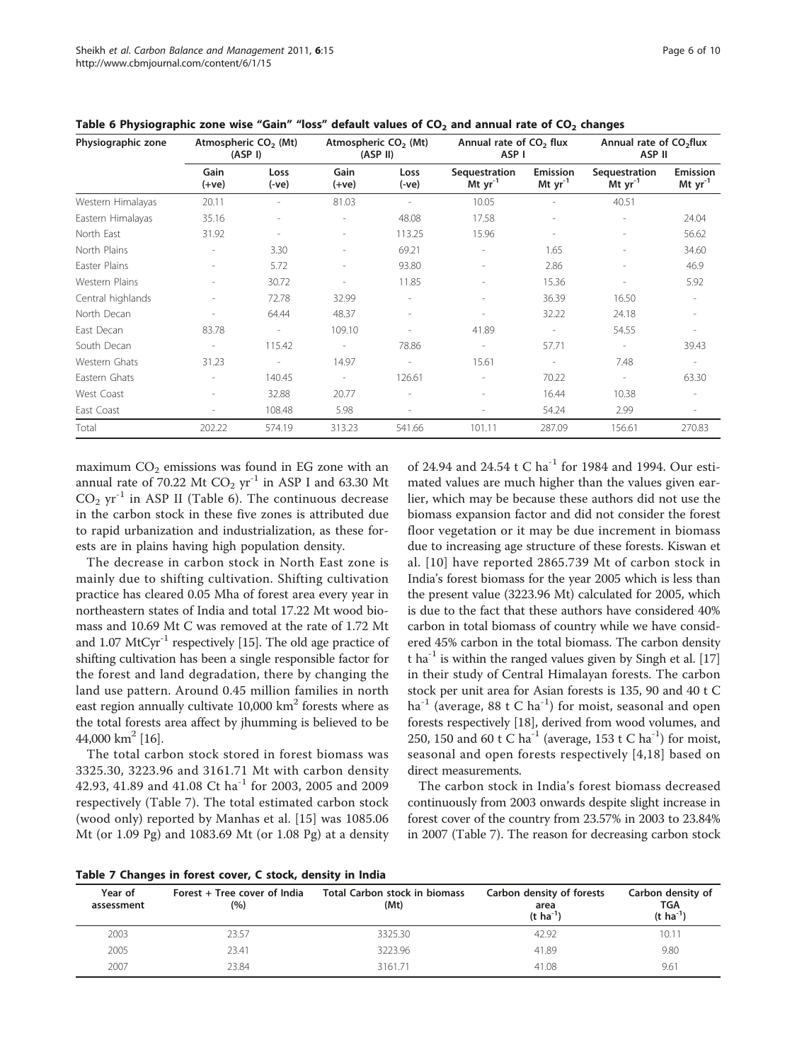| Physiographic zone | Atmospheric CO <sub>2</sub> (Mt)<br>(ASP I) |                          |                          | Atmospheric CO <sub>2</sub> (Mt)<br>(ASP II) |                               | Annual rate of CO <sub>2</sub> flux<br>ASP I |                               | Annual rate of CO <sub>2</sub> flux<br>ASP II |  |
|--------------------|---------------------------------------------|--------------------------|--------------------------|----------------------------------------------|-------------------------------|----------------------------------------------|-------------------------------|-----------------------------------------------|--|
|                    | Gain<br>(+ve)                               | Loss<br>(-ve)            | Gain<br>$(+ve)$          | Loss<br>$(-ve)$                              | Sequestration<br>Mt $yr^{-1}$ | Emission<br>Mt $yr^{-1}$                     | Sequestration<br>Mt $yr^{-1}$ | Emission<br>Mt $yr^{-1}$                      |  |
| Western Himalayas  | 20.11                                       |                          | 81.03                    |                                              | 10.05                         |                                              | 40.51                         |                                               |  |
| Eastern Himalayas  | 35.16                                       |                          | ۰                        | 48.08                                        | 17.58                         | $\overline{\phantom{a}}$                     |                               | 24.04                                         |  |
| North East         | 31.92                                       | $\overline{\phantom{a}}$ | $\overline{a}$           | 113.25                                       | 15.96                         | $\overline{\phantom{a}}$                     | $\overline{\phantom{a}}$      | 56.62                                         |  |
| North Plains       |                                             | 3.30                     | ۰                        | 69.21                                        | ۰                             | 1.65                                         | $\overline{a}$                | 34.60                                         |  |
| Easter Plains      | $\sim$                                      | 5.72                     | $\overline{a}$           | 93.80                                        | ۰                             | 2.86                                         |                               | 46.9                                          |  |
| Western Plains     | $\overline{\phantom{a}}$                    | 30.72                    | ÷                        | 11.85                                        | ۰                             | 15.36                                        | $\overline{\phantom{a}}$      | 5.92                                          |  |
| Central highlands  | ٠                                           | 72.78                    | 32.99                    | $\overline{\phantom{a}}$                     | $\overline{\phantom{a}}$      | 36.39                                        | 16.50                         | $\sim$                                        |  |
| North Decan        | $\overline{a}$                              | 64.44                    | 48.37                    | $\overline{\phantom{a}}$                     | $\overline{\phantom{a}}$      | 32.22                                        | 24.18                         |                                               |  |
| East Decan         | 83.78                                       | $\sim$                   | 109.10                   | $\overline{a}$                               | 41.89                         | $\overline{\phantom{a}}$                     | 54.55                         | $\sim$                                        |  |
| South Decan        | $\overline{\phantom{a}}$                    | 115.42                   | $\overline{\phantom{a}}$ | 78.86                                        | $\overline{\phantom{a}}$      | 57.71                                        | $\overline{\phantom{a}}$      | 39.43                                         |  |
| Western Ghats      | 31.23                                       | $\sim$                   | 14.97                    | $\sim$                                       | 15.61                         | $\overline{\phantom{a}}$                     | 7.48                          | $\sim$                                        |  |
| Eastern Ghats      | $\overline{\phantom{a}}$                    | 140.45                   | $\overline{\phantom{a}}$ | 126.61                                       |                               | 70.22                                        | $\overline{\phantom{a}}$      | 63.30                                         |  |
| West Coast         | $\overline{\phantom{a}}$                    | 32.88                    | 20.77                    | $\overline{\phantom{a}}$                     | $\overline{a}$                | 16.44                                        | 10.38                         |                                               |  |
| East Coast         | $\overline{\phantom{a}}$                    | 108.48                   | 5.98                     | -                                            | $\overline{a}$                | 54.24                                        | 2.99                          | $\sim$                                        |  |
| Total              | 202.22                                      | 574.19                   | 313.23                   | 541.66                                       | 101.11                        | 287.09                                       | 156.61                        | 270.83                                        |  |

<span id="page-5-0"></span>Table 6 Physiographic zone wise "Gain" "loss" default values of  $CO<sub>2</sub>$  and annual rate of  $CO<sub>2</sub>$  changes

maximum  $CO<sub>2</sub>$  emissions was found in EG zone with an annual rate of 70.22 Mt  $CO<sub>2</sub>$  yr<sup>-1</sup> in ASP I and 63.30 Mt  $CO<sub>2</sub>$  yr<sup>-1</sup> in ASP II (Table 6). The continuous decrease in the carbon stock in these five zones is attributed due to rapid urbanization and industrialization, as these forests are in plains having high population density.

The decrease in carbon stock in North East zone is mainly due to shifting cultivation. Shifting cultivation practice has cleared 0.05 Mha of forest area every year in northeastern states of India and total 17.22 Mt wood biomass and 10.69 Mt C was removed at the rate of 1.72 Mt and  $1.07 \text{ MtCyr}^{-1}$  respectively [[15\]](#page-8-0). The old age practice of shifting cultivation has been a single responsible factor for the forest and land degradation, there by changing the land use pattern. Around 0.45 million families in north east region annually cultivate  $10,000$  km<sup>2</sup> forests where as the total forests area affect by jhumming is believed to be 44,000 km<sup>2</sup> [[16](#page-8-0)].

The total carbon stock stored in forest biomass was 3325.30, 3223.96 and 3161.71 Mt with carbon density 42.93, 41.89 and 41.08 Ct ha<sup>-1</sup> for 2003, 2005 and 2009 respectively (Table 7). The total estimated carbon stock (wood only) reported by Manhas et al. [[15\]](#page-8-0) was 1085.06 Mt (or 1.09 Pg) and 1083.69 Mt (or 1.08 Pg) at a density of 24.94 and 24.54 t C ha<sup>-1</sup> for 1984 and 1994. Our estimated values are much higher than the values given earlier, which may be because these authors did not use the biomass expansion factor and did not consider the forest floor vegetation or it may be due increment in biomass due to increasing age structure of these forests. Kiswan et al. [\[10\]](#page-8-0) have reported 2865.739 Mt of carbon stock in India's forest biomass for the year 2005 which is less than the present value (3223.96 Mt) calculated for 2005, which is due to the fact that these authors have considered 40% carbon in total biomass of country while we have considered 45% carbon in the total biomass. The carbon density t ha<sup>-1</sup> is within the ranged values given by Singh et al. [[17](#page-8-0)] in their study of Central Himalayan forests. The carbon stock per unit area for Asian forests is 135, 90 and 40 t C ha<sup>-1</sup> (average, 88 t C ha<sup>-1</sup>) for moist, seasonal and open forests respectively [\[18\]](#page-8-0), derived from wood volumes, and 250, 150 and 60 t C ha<sup>-1</sup> (average, 153 t C ha<sup>-1</sup>) for moist, seasonal and open forests respectively [[4](#page-8-0),[18\]](#page-8-0) based on direct measurements.

The carbon stock in India's forest biomass decreased continuously from 2003 onwards despite slight increase in forest cover of the country from 23.57% in 2003 to 23.84% in 2007 (Table 7). The reason for decreasing carbon stock

| Year of<br>assessment | Forest + Tree cover of India<br>(%) | Total Carbon stock in biomass<br>(Mt) | Carbon density of forests<br>area<br>$(t \, ha^{-1})$ | Carbon density of<br><b>TGA</b><br>$(t \; ha^{-1})$ |
|-----------------------|-------------------------------------|---------------------------------------|-------------------------------------------------------|-----------------------------------------------------|
| 2003                  | 23.57                               | 3325.30                               | 42.92                                                 | 10.11                                               |
| 2005                  | 23.41                               | 3223.96                               | 41.89                                                 | 9.80                                                |
| 2007                  | 23.84                               | 3161.71                               | 41.08                                                 | 9.61                                                |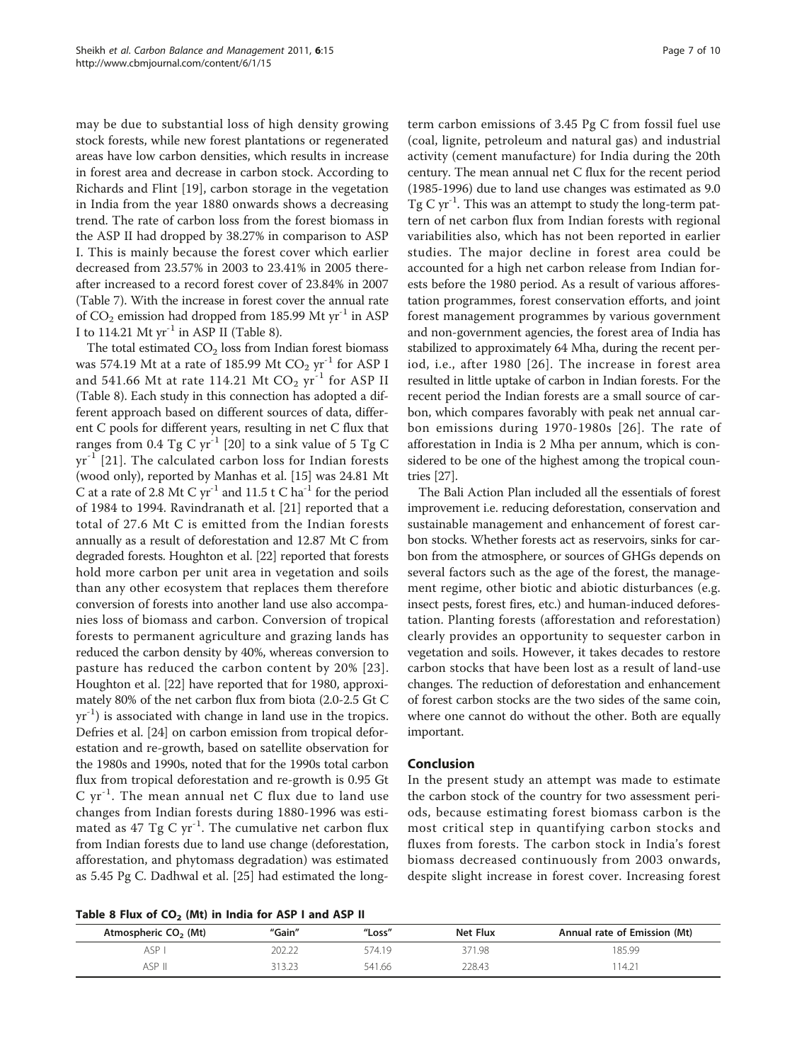may be due to substantial loss of high density growing stock forests, while new forest plantations or regenerated areas have low carbon densities, which results in increase in forest area and decrease in carbon stock. According to Richards and Flint [[19\]](#page-8-0), carbon storage in the vegetation in India from the year 1880 onwards shows a decreasing trend. The rate of carbon loss from the forest biomass in the ASP II had dropped by 38.27% in comparison to ASP I. This is mainly because the forest cover which earlier decreased from 23.57% in 2003 to 23.41% in 2005 thereafter increased to a record forest cover of 23.84% in 2007 (Table [7\)](#page-5-0). With the increase in forest cover the annual rate of  $CO_2$  emission had dropped from 185.99 Mt yr<sup>-1</sup> in ASP I to 114.21 Mt  $yr^{-1}$  in ASP II (Table 8).

The total estimated  $CO<sub>2</sub>$  loss from Indian forest biomass was 574.19 Mt at a rate of 185.99 Mt  $CO<sub>2</sub>$  yr<sup>-1</sup> for ASP I and 541.66 Mt at rate 114.21 Mt  $CO<sub>2</sub>$  yr<sup>-1</sup> for ASP II (Table 8). Each study in this connection has adopted a different approach based on different sources of data, different C pools for different years, resulting in net C flux that ranges from 0.4 Tg C yr<sup>-1</sup> [\[20](#page-8-0)] to a sink value of 5 Tg C  $yr^{-1}$  [[21\]](#page-8-0). The calculated carbon loss for Indian forests (wood only), reported by Manhas et al. [\[15](#page-8-0)] was 24.81 Mt C at a rate of 2.8 Mt C  $yr^{-1}$  and 11.5 t C ha<sup>-1</sup> for the period of 1984 to 1994. Ravindranath et al. [\[21](#page-8-0)] reported that a total of 27.6 Mt C is emitted from the Indian forests annually as a result of deforestation and 12.87 Mt C from degraded forests. Houghton et al. [\[22\]](#page-8-0) reported that forests hold more carbon per unit area in vegetation and soils than any other ecosystem that replaces them therefore conversion of forests into another land use also accompanies loss of biomass and carbon. Conversion of tropical forests to permanent agriculture and grazing lands has reduced the carbon density by 40%, whereas conversion to pasture has reduced the carbon content by 20% [[23\]](#page-8-0). Houghton et al. [[22](#page-8-0)] have reported that for 1980, approximately 80% of the net carbon flux from biota (2.0-2.5 Gt C  $yr^{-1}$ ) is associated with change in land use in the tropics. Defries et al. [[24\]](#page-8-0) on carbon emission from tropical deforestation and re-growth, based on satellite observation for the 1980s and 1990s, noted that for the 1990s total carbon flux from tropical deforestation and re-growth is 0.95 Gt  $C yr^{-1}$ . The mean annual net C flux due to land use changes from Indian forests during 1880-1996 was estimated as 47 Tg C  $yr^{-1}$ . The cumulative net carbon flux from Indian forests due to land use change (deforestation, afforestation, and phytomass degradation) was estimated as 5.45 Pg C. Dadhwal et al. [\[25\]](#page-8-0) had estimated the long-

Table 8 Flux of  $CO<sub>2</sub>$  (Mt) in India for ASP I and ASP II

term carbon emissions of 3.45 Pg C from fossil fuel use (coal, lignite, petroleum and natural gas) and industrial activity (cement manufacture) for India during the 20th century. The mean annual net C flux for the recent period (1985-1996) due to land use changes was estimated as 9.0 Tg C  $yr^{-1}$ . This was an attempt to study the long-term pattern of net carbon flux from Indian forests with regional variabilities also, which has not been reported in earlier studies. The major decline in forest area could be accounted for a high net carbon release from Indian forests before the 1980 period. As a result of various afforestation programmes, forest conservation efforts, and joint forest management programmes by various government and non-government agencies, the forest area of India has stabilized to approximately 64 Mha, during the recent period, i.e., after 1980 [[26\]](#page-8-0). The increase in forest area resulted in little uptake of carbon in Indian forests. For the recent period the Indian forests are a small source of carbon, which compares favorably with peak net annual carbon emissions during 1970-1980s [[26](#page-8-0)]. The rate of afforestation in India is 2 Mha per annum, which is considered to be one of the highest among the tropical countries [[27](#page-8-0)].

The Bali Action Plan included all the essentials of forest improvement i.e. reducing deforestation, conservation and sustainable management and enhancement of forest carbon stocks. Whether forests act as reservoirs, sinks for carbon from the atmosphere, or sources of GHGs depends on several factors such as the age of the forest, the management regime, other biotic and abiotic disturbances (e.g. insect pests, forest fires, etc.) and human-induced deforestation. Planting forests (afforestation and reforestation) clearly provides an opportunity to sequester carbon in vegetation and soils. However, it takes decades to restore carbon stocks that have been lost as a result of land-use changes. The reduction of deforestation and enhancement of forest carbon stocks are the two sides of the same coin, where one cannot do without the other. Both are equally important.

#### Conclusion

In the present study an attempt was made to estimate the carbon stock of the country for two assessment periods, because estimating forest biomass carbon is the most critical step in quantifying carbon stocks and fluxes from forests. The carbon stock in India's forest biomass decreased continuously from 2003 onwards, despite slight increase in forest cover. Increasing forest

| Atmospheric CO <sub>2</sub> (Mt) | "Gain" | "Loss" | Net Flux | Annual rate of Emission (Mt) |
|----------------------------------|--------|--------|----------|------------------------------|
| ASP                              |        | 574 19 | 371.98   | 185.99                       |
| ASP II                           | 212.20 | 541.66 | 228.43   | $14.2^{\circ}$               |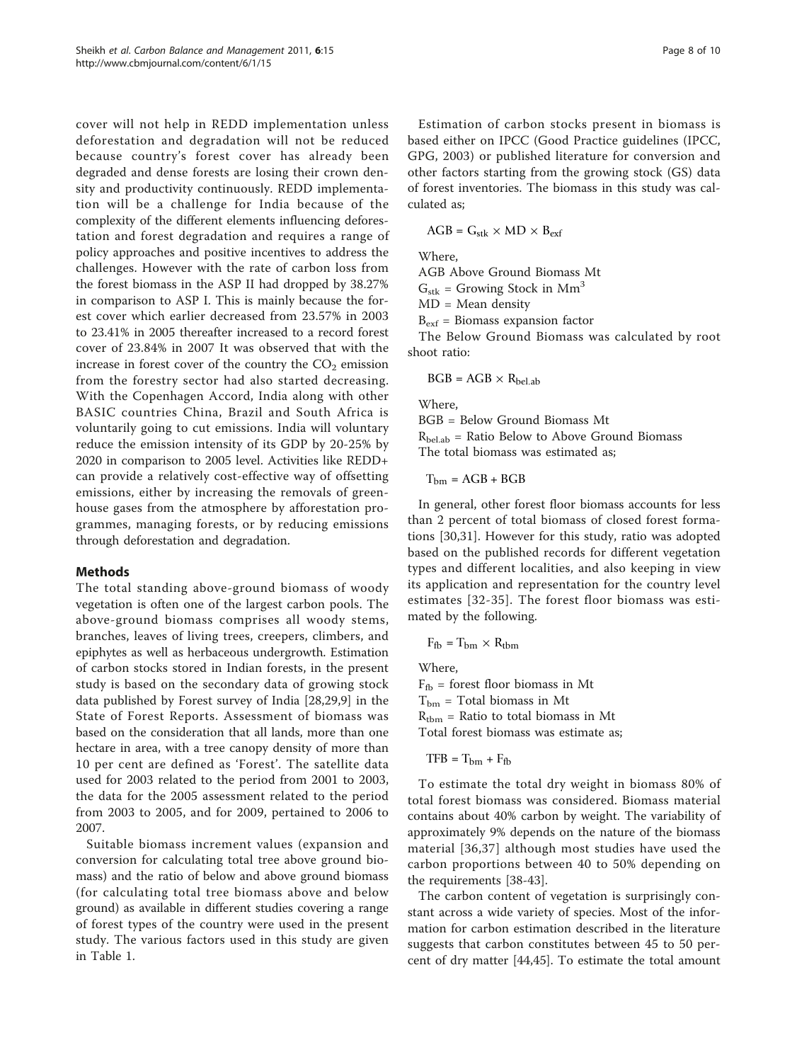cover will not help in REDD implementation unless deforestation and degradation will not be reduced because country's forest cover has already been degraded and dense forests are losing their crown density and productivity continuously. REDD implementation will be a challenge for India because of the complexity of the different elements influencing deforestation and forest degradation and requires a range of policy approaches and positive incentives to address the challenges. However with the rate of carbon loss from the forest biomass in the ASP II had dropped by 38.27% in comparison to ASP I. This is mainly because the forest cover which earlier decreased from 23.57% in 2003 to 23.41% in 2005 thereafter increased to a record forest cover of 23.84% in 2007 It was observed that with the increase in forest cover of the country the  $CO<sub>2</sub>$  emission from the forestry sector had also started decreasing. With the Copenhagen Accord, India along with other BASIC countries China, Brazil and South Africa is voluntarily going to cut emissions. India will voluntary reduce the emission intensity of its GDP by 20-25% by 2020 in comparison to 2005 level. Activities like REDD+ can provide a relatively cost-effective way of offsetting emissions, either by increasing the removals of greenhouse gases from the atmosphere by afforestation programmes, managing forests, or by reducing emissions through deforestation and degradation.

## Methods

The total standing above-ground biomass of woody vegetation is often one of the largest carbon pools. The above-ground biomass comprises all woody stems, branches, leaves of living trees, creepers, climbers, and epiphytes as well as herbaceous undergrowth. Estimation of carbon stocks stored in Indian forests, in the present study is based on the secondary data of growing stock data published by Forest survey of India [[28](#page-8-0),[29,9\]](#page-8-0) in the State of Forest Reports. Assessment of biomass was based on the consideration that all lands, more than one hectare in area, with a tree canopy density of more than 10 per cent are defined as 'Forest'. The satellite data used for 2003 related to the period from 2001 to 2003, the data for the 2005 assessment related to the period from 2003 to 2005, and for 2009, pertained to 2006 to 2007.

Suitable biomass increment values (expansion and conversion for calculating total tree above ground biomass) and the ratio of below and above ground biomass (for calculating total tree biomass above and below ground) as available in different studies covering a range of forest types of the country were used in the present study. The various factors used in this study are given in Table [1.](#page-1-0)

Estimation of carbon stocks present in biomass is based either on IPCC (Good Practice guidelines (IPCC, GPG, 2003) or published literature for conversion and other factors starting from the growing stock (GS) data of forest inventories. The biomass in this study was calculated as;

$$
AGB = G_{stk} \times MD \times B_{ext}
$$

Where,

AGB Above Ground Biomass Mt

 $G_{\rm stk}$  = Growing Stock in Mm<sup>3</sup>

 $MD = Mean$  density

 $B_{\text{ext}}$  = Biomass expansion factor

The Below Ground Biomass was calculated by root shoot ratio:

 $BGB = AGB \times R_{hel,ab}$ 

Where,

BGB = Below Ground Biomass Mt  $R_{\text{bel}ab}$  = Ratio Below to Above Ground Biomass The total biomass was estimated as;

 $T_{bm} = AGB + BGB$ 

In general, other forest floor biomass accounts for less than 2 percent of total biomass of closed forest formations [[30,31\]](#page-8-0). However for this study, ratio was adopted based on the published records for different vegetation types and different localities, and also keeping in view its application and representation for the country level estimates [[32](#page-8-0)-[35\]](#page-8-0). The forest floor biomass was estimated by the following.

$$
F_{\rm fb} = T_{\rm bm} \times R_{\rm tbm}
$$

Where,

 $F_{\text{fb}}$  = forest floor biomass in Mt  $T_{bm}$  = Total biomass in Mt  $R_{\text{tbm}}$  = Ratio to total biomass in Mt Total forest biomass was estimate as;

 $TFB = T_{bm} + F_{fb}$ 

To estimate the total dry weight in biomass 80% of total forest biomass was considered. Biomass material contains about 40% carbon by weight. The variability of approximately 9% depends on the nature of the biomass material [\[36,](#page-8-0)[37\]](#page-9-0) although most studies have used the carbon proportions between 40 to 50% depending on the requirements [\[38-43](#page-9-0)].

The carbon content of vegetation is surprisingly constant across a wide variety of species. Most of the information for carbon estimation described in the literature suggests that carbon constitutes between 45 to 50 percent of dry matter [[44](#page-9-0),[45](#page-9-0)]. To estimate the total amount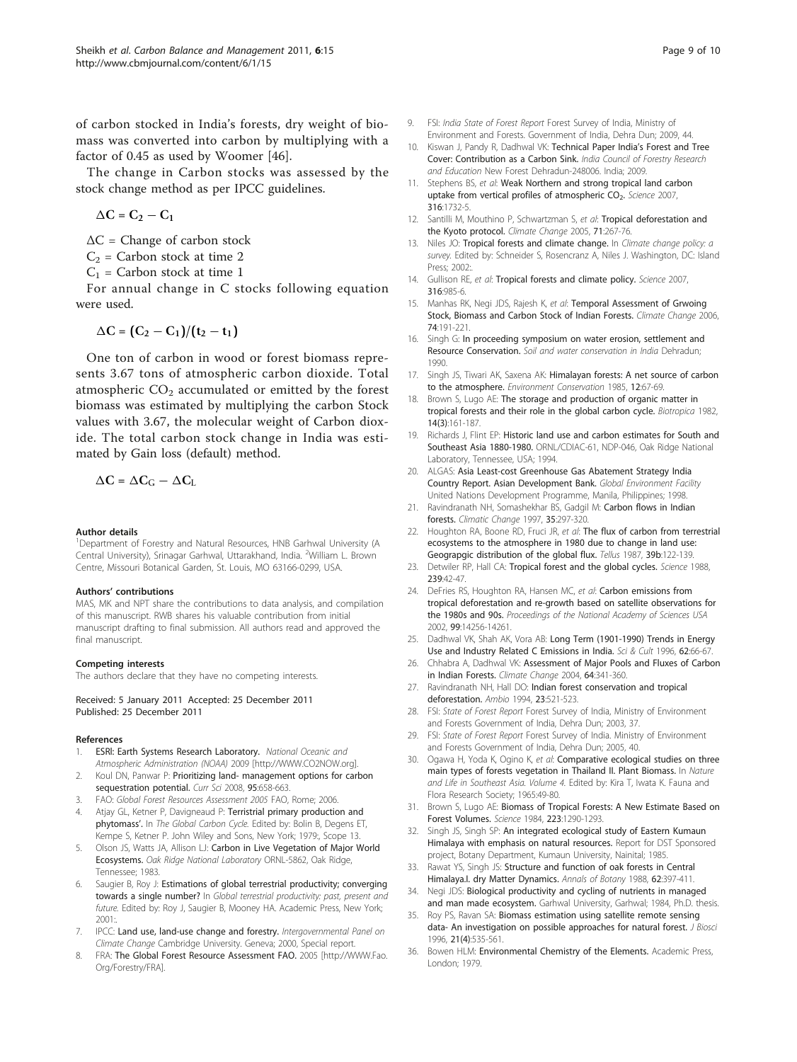<span id="page-8-0"></span>of carbon stocked in India's forests, dry weight of biomass was converted into carbon by multiplying with a factor of 0.45 as used by Woomer [\[46](#page-9-0)].

The change in Carbon stocks was assessed by the stock change method as per IPCC guidelines.

$$
\Delta C = C_2 - C_1
$$

 $\Delta C$  = Change of carbon stock

 $C_2$  = Carbon stock at time 2

 $C_1$  = Carbon stock at time 1

For annual change in C stocks following equation were used.

$$
\Delta C = (C_2 - C_1)/(t_2 - t_1)
$$

One ton of carbon in wood or forest biomass represents 3.67 tons of atmospheric carbon dioxide. Total atmospheric  $CO<sub>2</sub>$  accumulated or emitted by the forest biomass was estimated by multiplying the carbon Stock values with 3.67, the molecular weight of Carbon dioxide. The total carbon stock change in India was estimated by Gain loss (default) method.

$$
\Delta C = \Delta C_G - \Delta C_L
$$

#### Author details

<sup>1</sup>Department of Forestry and Natural Resources, HNB Garhwal University (A Central University), Srinagar Garhwal, Uttarakhand, India. <sup>2</sup>William L. Brown Centre, Missouri Botanical Garden, St. Louis, MO 63166-0299, USA.

#### Authors' contributions

MAS, MK and NPT share the contributions to data analysis, and compilation of this manuscript. RWB shares his valuable contribution from initial manuscript drafting to final submission. All authors read and approved the final manuscript.

#### Competing interests

The authors declare that they have no competing interests.

#### Received: 5 January 2011 Accepted: 25 December 2011 Published: 25 December 2011

#### References

- 1. ESRI: Earth Systems Research Laboratory. National Oceanic and Atmospheric Administration (NOAA) 2009 [\[http://WWW.CO2NOW.org\]](http://WWW.CO2NOW.org).
- Koul DN, Panwar P: Prioritizing land- management options for carbon sequestration potential. Curr Sci 2008, 95:658-663.
- 3. FAO: Global Forest Resources Assessment 2005 FAO, Rome; 2006.
- Atjay GL, Ketner P, Davigneaud P: Terristrial primary production and phytomass'. In The Global Carbon Cycle. Edited by: Bolin B, Degens ET, Kempe S, Ketner P. John Wiley and Sons, New York; 1979:, Scope 13.
- 5. Olson JS, Watts JA, Allison LJ: Carbon in Live Vegetation of Major World Ecosystems. Oak Ridge National Laboratory ORNL-5862, Oak Ridge, Tennessee; 1983.
- Saugier B, Roy J: Estimations of global terrestrial productivity; converging towards a single number? In Global terrestrial productivity: past, present and future. Edited by: Roy J, Saugier B, Mooney HA. Academic Press, New York; 2001:
- 7. IPCC: Land use, land-use change and forestry. Intergovernmental Panel on Climate Change Cambridge University. Geneva; 2000, Special report.
- FRA: The Global Forest Resource Assessment FAO. 2005 [[http://WWW.Fao.](http://WWW.Fao.Org/Forestry/FRA) [Org/Forestry/FRA](http://WWW.Fao.Org/Forestry/FRA)].
- 9. FSI: *India State of Forest Report Forest Survey of India*, Ministry of Environment and Forests. Government of India, Dehra Dun; 2009, 44.
- 10. Kiswan J, Pandy R, Dadhwal VK: Technical Paper India's Forest and Tree Cover: Contribution as a Carbon Sink. India Council of Forestry Research and Education New Forest Dehradun-248006. India; 2009.
- 11. Stephens BS, et al: [Weak Northern and strong tropical land carbon](http://www.ncbi.nlm.nih.gov/pubmed/17588927?dopt=Abstract) uptake from vertical profiles of atmospheric CO<sub>2</sub>. Science 2007, 316:1732-5.
- 12. Santilli M, Mouthino P, Schwartzman S, et al: Tropical deforestation and the Kyoto protocol. Climate Change 2005, 71:267-76.
- 13. Niles JO: Tropical forests and climate change. In Climate change policy: a survey. Edited by: Schneider S, Rosencranz A, Niles J. Washington, DC: Island Press; 2002:.
- 14. Gullison RE, et al: [Tropical forests and climate policy.](http://www.ncbi.nlm.nih.gov/pubmed/17495140?dopt=Abstract) Science 2007, 316:985-6.
- 15. Manhas RK, Negi JDS, Rajesh K, et al: Temporal Assessment of Grwoing Stock, Biomass and Carbon Stock of Indian Forests. Climate Change 2006, 74:191-221.
- 16. Singh G: In proceeding symposium on water erosion, settlement and Resource Conservation. Soil and water conservation in India Dehradun: 1990.
- 17. Singh JS, Tiwari AK, Saxena AK: Himalayan forests: A net source of carbon to the atmosphere. Environment Conservation 1985, 12:67-69.
- 18. Brown S, Lugo AE: The storage and production of organic matter in tropical forests and their role in the global carbon cycle. Biotropica 1982, 14(3):161-187.
- 19. Richards J, Flint EP: Historic land use and carbon estimates for South and Southeast Asia 1880-1980. ORNL/CDIAC-61, NDP-046, Oak Ridge National Laboratory, Tennessee, USA; 1994.
- 20. ALGAS: Asia Least-cost Greenhouse Gas Abatement Strategy India Country Report. Asian Development Bank. Global Environment Facility United Nations Development Programme, Manila, Philippines; 1998.
- 21. Ravindranath NH, Somashekhar BS, Gadgil M: Carbon flows in Indian forests. Climatic Change 1997, 35:297-320.
- 22. Houghton RA, Boone RD, Fruci JR, et al: The flux of carbon from terrestrial ecosystems to the atmosphere in 1980 due to change in land use: Geograpgic distribution of the global flux. Tellus 1987, 39b:122-139.
- 23. Detwiler RP, Hall CA: [Tropical forest and the global cycles.](http://www.ncbi.nlm.nih.gov/pubmed/17820628?dopt=Abstract) Science 1988, 239:42-47.
- 24. DeFries RS, Houghton RA, Hansen MC, et al: Carbon emissions from tropical deforestation and re-growth based on satellite observations for the 1980s and 90s. Proceedings of the National Academy of Sciences USA 2002, 99:14256-14261.
- 25. Dadhwal VK, Shah AK, Vora AB: [Long Term \(1901-1990\) Trends in Energy](http://www.ncbi.nlm.nih.gov/pubmed/22210016?dopt=Abstract) [Use and Industry Related C Emissions in India.](http://www.ncbi.nlm.nih.gov/pubmed/22210016?dopt=Abstract) Sci & Cult 1996, 62:66-67.
- 26. Chhabra A, Dadhwal VK: Assessment of Major Pools and Fluxes of Carbon in Indian Forests. Climate Change 2004, 64:341-360.
- 27. Ravindranath NH, Hall DO: Indian forest conservation and tropical deforestation. Ambio 1994, 23:521-523.
- 28. FSI: State of Forest Report Forest Survey of India, Ministry of Environment and Forests Government of India, Dehra Dun; 2003, 37.
- 29. FSI: State of Forest Report Forest Survey of India. Ministry of Environment and Forests Government of India, Dehra Dun; 2005, 40.
- 30. Ogawa H, Yoda K, Ogino K, et al: Comparative ecological studies on three main types of forests vegetation in Thailand II. Plant Biomass. In Nature and Life in Southeast Asia. Volume 4. Edited by: Kira T, Iwata K. Fauna and Flora Research Society; 1965:49-80.
- 31. Brown S, Lugo AE: [Biomass of Tropical Forests: A New Estimate Based on](http://www.ncbi.nlm.nih.gov/pubmed/17759366?dopt=Abstract) [Forest Volumes.](http://www.ncbi.nlm.nih.gov/pubmed/17759366?dopt=Abstract) Science 1984, 223:1290-1293.
- 32. Singh JS, Singh SP: An integrated ecological study of Eastern Kumaun Himalaya with emphasis on natural resources. Report for DST Sponsored project, Botany Department, Kumaun University, Nainital; 1985.
- 33. Rawat YS, Singh JS: Structure and function of oak forests in Central Himalaya.I. dry Matter Dynamics. Annals of Botany 1988, 62:397-411.
- 34. Negi JDS: Biological productivity and cycling of nutrients in managed and man made ecosystem. Garhwal University, Garhwal; 1984, Ph.D. thesis.
- 35. Roy PS, Ravan SA: Biomass estimation using satellite remote sensing data- An investigation on possible approaches for natural forest. J Biosci 1996, 21(4):535-561.
- 36. Bowen HLM: Environmental Chemistry of the Elements. Academic Press, London; 1979.